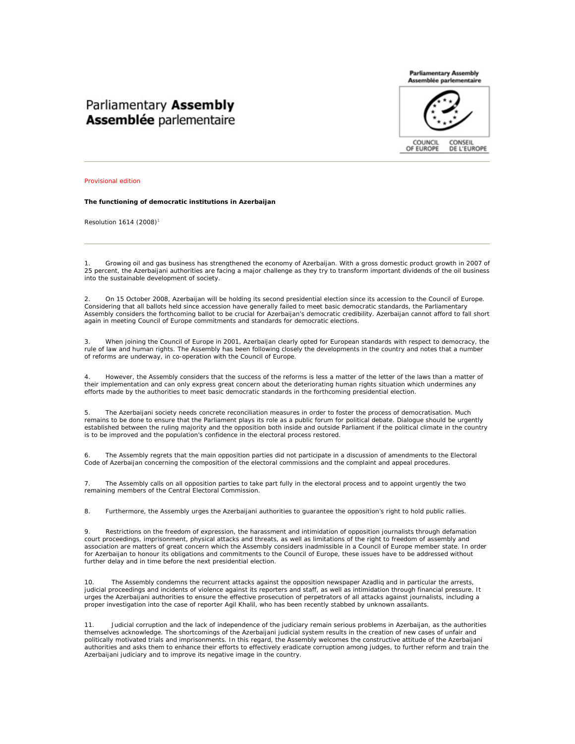## Parliamentary Assembly **Assemblée parlementaire**



Provisional edition

**The functioning of democratic institutions in Azerbaijan** 

Resolution 1614 (2008)<sup>1</sup>

1. Growing oil and gas business has strengthened the economy of Azerbaijan. With a gross domestic product growth in 2007 of 25 percent, the Azerbaijani authorities are facing a major challenge as they try to transform important dividends of the oil business into the sustainable development of society.

2. On 15 October 2008, Azerbaijan will be holding its second presidential election since its accession to the Council of Europe. Considering that all ballots held since accession have generally failed to meet basic democratic standards, the Parliamentary Assembly considers the forthcoming ballot to be crucial for Azerbaijan's democratic credibility. Azerbaijan cannot afford to fall short again in meeting Council of Europe commitments and standards for democratic elections.

3. When joining the Council of Europe in 2001, Azerbaijan clearly opted for European standards with respect to democracy, the rule of law and human rights. The Assembly has been following closely the developments in the country and notes that a number of reforms are underway, in co-operation with the Council of Europe.

4. However, the Assembly considers that the success of the reforms is less a matter of the letter of the laws than a matter of their implementation and can only express great concern about the deteriorating human rights situation which undermines any efforts made by the authorities to meet basic democratic standards in the forthcoming presidential election.

5. The Azerbaijani society needs concrete reconciliation measures in order to foster the process of democratisation. Much remains to be done to ensure that the Parliament plays its role as a public forum for political debate. Dialogue should be urgently established between the ruling majority and the opposition both inside and outside Parliament if the political climate in the country is to be improved and the population's confidence in the electoral process restored.

The Assembly regrets that the main opposition parties did not participate in a discussion of amendments to the Electoral Code of Azerbaijan concerning the composition of the electoral commissions and the complaint and appeal procedures.

7. The Assembly calls on all opposition parties to take part fully in the electoral process and to appoint urgently the two remaining members of the Central Electoral Commission.

8. Furthermore, the Assembly urges the Azerbaijani authorities to guarantee the opposition's right to hold public rallies.

9. Restrictions on the freedom of expression, the harassment and intimidation of opposition journalists through defamation court proceedings, imprisonment, physical attacks and threats, as well as limitations of the right to freedom of assembly and association are matters of great concern which the Assembly considers inadmissible in a Council of Europe member state. In order for Azerbaijan to honour its obligations and commitments to the Council of Europe, these issues have to be addressed without further delay and in time before the next presidential election.

10. The Assembly condemns the recurrent attacks against the opposition newspaper Azadliq and in particular the arrests, judicial proceedings and incidents of violence against its reporters and staff, as well as intimidation through financial pressure. It urges the Azerbaijani authorities to ensure the effective prosecution of perpetrators of all attacks against journalists, including a proper investigation into the case of reporter Agil Khalil, who has been recently stabbed by unknown assailants.

11. Judicial corruption and the lack of independence of the judiciary remain serious problems in Azerbaijan, as the authorities themselves acknowledge. The shortcomings of the Azerbaijani judicial system results in the creation of new cases of unfair and politically motivated trials and imprisonments. In this regard, the Assembly welcomes the constructive attitude of the Azerbaijani authorities and asks them to enhance their efforts to effectively eradicate corruption among judges, to further reform and train the Azerbaijani judiciary and to improve its negative image in the country.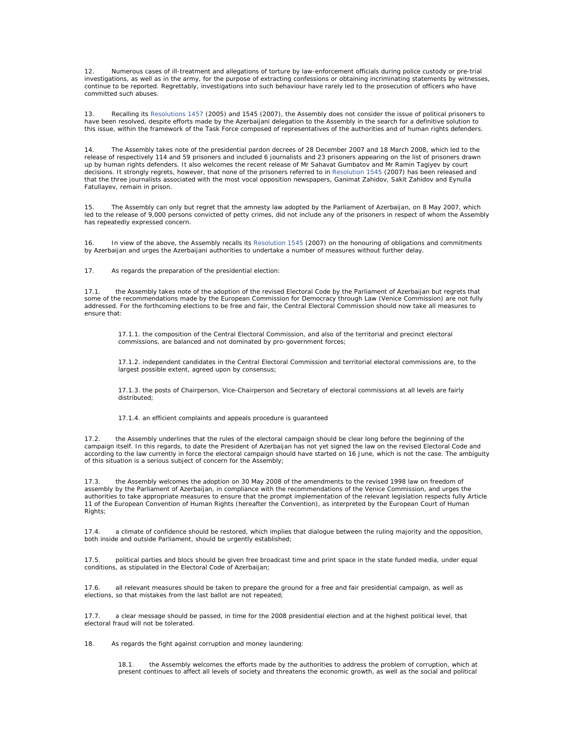12. Numerous cases of ill-treatment and allegations of torture by law-enforcement officials during police custody or pre-trial investigations, as well as in the army, for the purpose of extracting confessions or obtaining incriminating statements by witnesses, continue to be reported. Regrettably, investigations into such behaviour have rarely led to the prosecution of officers who have committed such abuses.

13. Recalling its Resolutions 1457 (2005) and 1545 (2007), the Assembly does not consider the issue of political prisoners to have been resolved, despite efforts made by the Azerbaijani delegation to the Assembly in the search for a definitive solution to this issue, within the framework of the Task Force composed of representatives of the authorities and of human rights defenders.

14. The Assembly takes note of the presidential pardon decrees of 28 December 2007 and 18 March 2008, which led to the release of respectively 114 and 59 prisoners and included 6 journalists and 23 prisoners appearing on the list of prisoners drawn up by human rights defenders. It also welcomes the recent release of Mr Sahavat Gumbatov and Mr Ramin Tagiyev by court decisions. It strongly regrets, however, that none of the prisoners referred to in Resolution 1545 (2007) has been released and that the three journalists associated with the most vocal opposition newspapers, Ganimat Zahidov, Sakit Zahidov and Eynulla Fatullayev, remain in prison.

15. The Assembly can only but regret that the amnesty law adopted by the Parliament of Azerbaijan, on 8 May 2007, which led to the release of 9,000 persons convicted of petty crimes, did not include any of the prisoners in respect of whom the Assembly has repeatedly expressed concern.

16. In view of the above, the Assembly recalls its Resolution 1545 (2007) on the honouring of obligations and commitments by Azerbaijan and urges the Azerbaijani authorities to undertake a number of measures without further delay.

17. As regards the preparation of the presidential election:

17.1. the Assembly takes note of the adoption of the revised Electoral Code by the Parliament of Azerbaijan but regrets that some of the recommendations made by the European Commission for Democracy through Law (Venice Commission) are not fully addressed. For the forthcoming elections to be free and fair, the Central Electoral Commission should now take all measures to ensure that:

17.1.1. the composition of the Central Electoral Commission, and also of the territorial and precinct electoral commissions, are balanced and not dominated by pro-government forces;

17.1.2. independent candidates in the Central Electoral Commission and territorial electoral commissions are, to the largest possible extent, agreed upon by consensus;

17.1.3. the posts of Chairperson, Vice-Chairperson and Secretary of electoral commissions at all levels are fairly distributed;

17.1.4. an efficient complaints and appeals procedure is guaranteed

17.2. the Assembly underlines that the rules of the electoral campaign should be clear long before the beginning of the campaign itself. In this regards, to date the President of Azerbaijan has not yet signed the law on the revised Electoral Code and according to the law currently in force the electoral campaign should have started on 16 June, which is not the case. The ambiguity of this situation is a serious subject of concern for the Assembly;

17.3. the Assembly welcomes the adoption on 30 May 2008 of the amendments to the revised 1998 law on freedom of assembly by the Parliament of Azerbaijan, in compliance with the recommendations of the Venice Commission, and urges the authorities to take appropriate measures to ensure that the prompt implementation of the relevant legislation respects fully Article 11 of the European Convention of Human Rights (hereafter the Convention), as interpreted by the European Court of Human Rights:

17.4. a climate of confidence should be restored, which implies that dialogue between the ruling majority and the opposition, both inside and outside Parliament, should be urgently established;

political parties and blocs should be given free broadcast time and print space in the state funded media, under equal conditions, as stipulated in the Electoral Code of Azerbaijan;

17.6. all relevant measures should be taken to prepare the ground for a free and fair presidential campaign, as well as elections, so that mistakes from the last ballot are not repeated;

17.7. a clear message should be passed, in time for the 2008 presidential election and at the highest political level, that electoral fraud will not be tolerated.

18. As regards the fight against corruption and money laundering:

the Assembly welcomes the efforts made by the authorities to address the problem of corruption, which at present continues to affect all levels of society and threatens the economic growth, as well as the social and political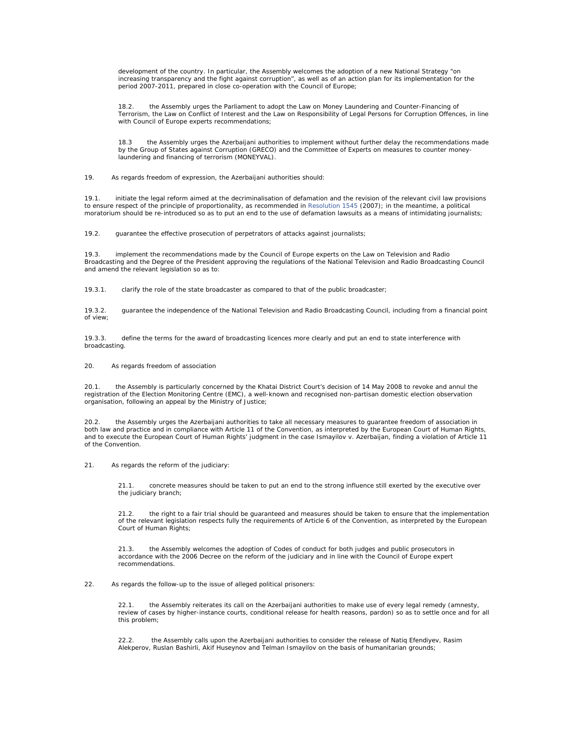development of the country. In particular, the Assembly welcomes the adoption of a new National Strategy "on increasing transparency and the fight against corruption", as well as of an action plan for its implementation for the period 2007-2011, prepared in close co-operation with the Council of Europe;

18.2. the Assembly urges the Parliament to adopt the Law on Money Laundering and Counter-Financing of Terrorism, the Law on Conflict of Interest and the Law on Responsibility of Legal Persons for Corruption Offences, in line with Council of Europe experts recommendations;

18.3 the Assembly urges the Azerbaijani authorities to implement without further delay the recommendations made by the Group of States against Corruption (GRECO) and the Committee of Experts on measures to counter moneylaundering and financing of terrorism (MONEYVAL).

19. As regards freedom of expression, the Azerbaijani authorities should:

19.1. initiate the legal reform aimed at the decriminalisation of defamation and the revision of the relevant civil law provisions to ensure respect of the principle of proportionality, as recommended in Resolution 1545 (2007); in the meantime, a political moratorium should be re-introduced so as to put an end to the use of defamation lawsuits as a means of intimidating journalists;

19.2. guarantee the effective prosecution of perpetrators of attacks against journalists;

19.3. implement the recommendations made by the Council of Europe experts on the Law on Television and Radio Broadcasting and the Degree of the President approving the regulations of the National Television and Radio Broadcasting Council and amend the relevant legislation so as to:

19.3.1. clarify the role of the state broadcaster as compared to that of the public broadcaster;

19.3.2. guarantee the independence of the National Television and Radio Broadcasting Council, including from a financial point of view;

19.3.3. define the terms for the award of broadcasting licences more clearly and put an end to state interference with broadcasting.

## 20. As regards freedom of association

20.1. the Assembly is particularly concerned by the Khatai District Court's decision of 14 May 2008 to revoke and annul the registration of the Election Monitoring Centre (EMC), a well-known and recognised non-partisan domestic election observation organisation, following an appeal by the Ministry of Justice;

20.2. the Assembly urges the Azerbaijani authorities to take all necessary measures to guarantee freedom of association in both law and practice and in compliance with Article 11 of the Convention, as interpreted by the European Court of Human Rights, and to execute the European Court of Human Rights' judgment in the case *Ismayilov v. Azerbaijan*, finding a violation of Article 11 of the Convention.

21. As regards the reform of the judiciary:

21.1. concrete measures should be taken to put an end to the strong influence still exerted by the executive over the judiciary branch;

21.2. the right to a fair trial should be guaranteed and measures should be taken to ensure that the implementation of the relevant legislation respects fully the requirements of Article 6 of the Convention, as interpreted by the European Court of Human Rights:

21.3. the Assembly welcomes the adoption of Codes of conduct for both judges and public prosecutors in accordance with the 2006 Decree on the reform of the judiciary and in line with the Council of Europe expert recommendations.

## 22. As regards the follow-up to the issue of alleged political prisoners:

22.1. the Assembly reiterates its call on the Azerbaijani authorities to make use of every legal remedy (amnesty, review of cases by higher-instance courts, conditional release for health reasons, pardon) so as to settle once and for all this problem;

22.2. the Assembly calls upon the Azerbaijani authorities to consider the release of Natiq Efendiyev, Rasim Alekperov, Ruslan Bashirli, Akif Huseynov and Telman Ismayilov on the basis of humanitarian grounds;